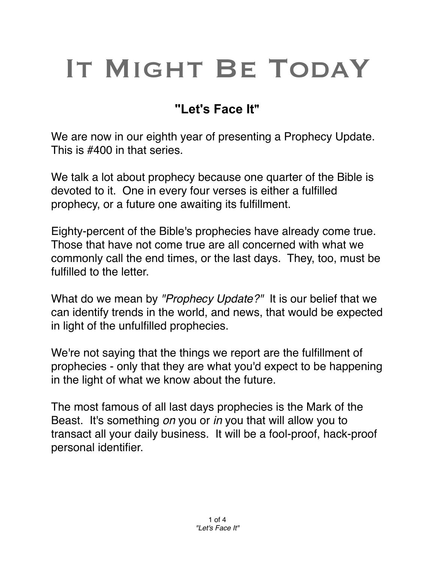## IT MIGHT BE TODAY

## **"Let's Face It"**

We are now in our eighth year of presenting a Prophecy Update. This is #400 in that series.

We talk a lot about prophecy because one quarter of the Bible is devoted to it. One in every four verses is either a fulfilled prophecy, or a future one awaiting its fulfillment.

Eighty-percent of the Bible's prophecies have already come true. Those that have not come true are all concerned with what we commonly call the end times, or the last days. They, too, must be fulfilled to the letter.

What do we mean by *"Prophecy Update?"* It is our belief that we can identify trends in the world, and news, that would be expected in light of the unfulfilled prophecies.

We're not saying that the things we report are the fulfillment of prophecies - only that they are what you'd expect to be happening in the light of what we know about the future.

The most famous of all last days prophecies is the Mark of the Beast. It's something *on* you or *in* you that will allow you to transact all your daily business. It will be a fool-proof, hack-proof personal identifier.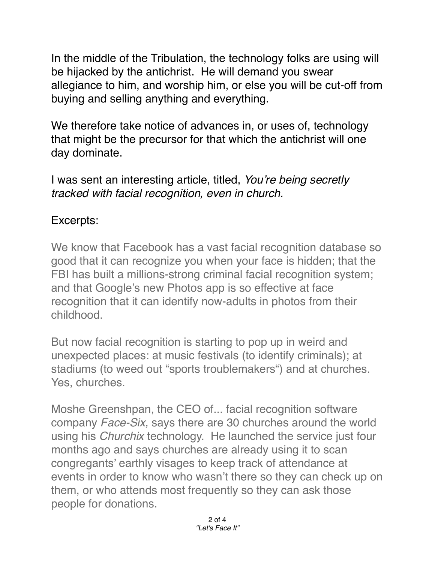In the middle of the Tribulation, the technology folks are using will be hijacked by the antichrist. He will demand you swear allegiance to him, and worship him, or else you will be cut-off from buying and selling anything and everything.

We therefore take notice of advances in, or uses of, technology that might be the precursor for that which the antichrist will one day dominate.

I was sent an interesting article, titled, *You're being secretly tracked with facial recognition, even in church.*

## Excerpts:

We know that Facebook has a vast facial recognition database so good that it can recognize you when your face is hidden; that the FBI has built a millions-strong criminal facial recognition system; and that Google's new Photos app is so effective at face recognition that it can identify now-adults in photos from their childhood.

But now facial recognition is starting to pop up in weird and unexpected places: at music festivals (to identify criminals); at stadiums (to weed out "sports troublemakers") and at churches. Yes, churches.

Moshe Greenshpan, the CEO of... facial recognition software company *Face-Six,* says there are 30 churches around the world using his *Churchix* technology. He launched the service just four months ago and says churches are already using it to scan congregants' earthly visages to keep track of attendance at events in order to know who wasn't there so they can check up on them, or who attends most frequently so they can ask those people for donations.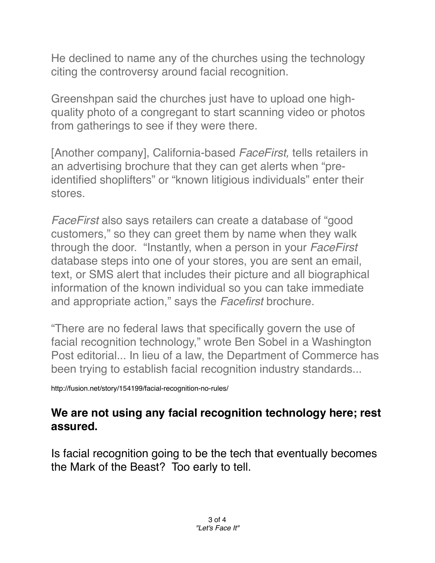He declined to name any of the churches using the technology citing the controversy around facial recognition.

Greenshpan said the churches just have to upload one highquality photo of a congregant to start scanning video or photos from gatherings to see if they were there.

[Another company], California-based *FaceFirst,* tells retailers in an advertising brochure that they can get alerts when "preidentified shoplifters" or "known litigious individuals" enter their stores.

*FaceFirst* also says retailers can create a database of "good customers," so they can greet them by name when they walk through the door. "Instantly, when a person in your *FaceFirst* database steps into one of your stores, you are sent an email, text, or SMS alert that includes their picture and all biographical information of the known individual so you can take immediate and appropriate action," says the *Facefirst* brochure.

"There are no federal laws that specifically govern the use of facial recognition technology," wrote Ben Sobel in a Washington Post editorial... In lieu of a law, the Department of Commerce has been trying to establish facial recognition industry standards...

http://fusion.net/story/154199/facial-recognition-no-rules/

## **We are not using any facial recognition technology here; rest assured.**

Is facial recognition going to be the tech that eventually becomes the Mark of the Beast? Too early to tell.